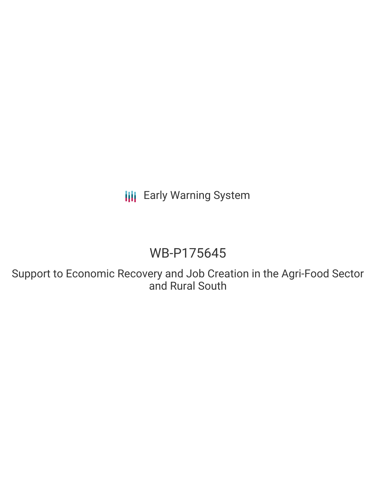**III** Early Warning System

# WB-P175645

Support to Economic Recovery and Job Creation in the Agri-Food Sector and Rural South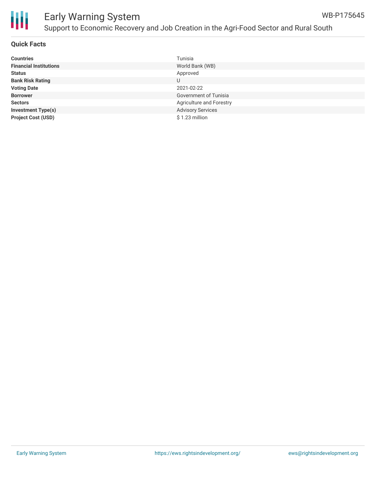

| <b>Countries</b>              | Tunisia                      |
|-------------------------------|------------------------------|
| <b>Financial Institutions</b> | World Bank (WB)              |
| <b>Status</b>                 | Approved                     |
| <b>Bank Risk Rating</b>       | U                            |
| <b>Voting Date</b>            | 2021-02-22                   |
| <b>Borrower</b>               | <b>Government of Tunisia</b> |
| <b>Sectors</b>                | Agriculture and Forestry     |
| <b>Investment Type(s)</b>     | <b>Advisory Services</b>     |
| <b>Project Cost (USD)</b>     | $$1.23$ million              |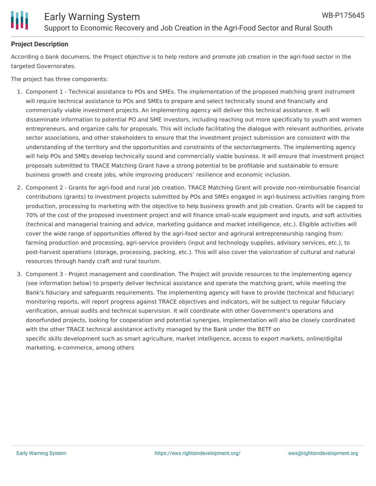

# **Project Description**

According o bank documens, the Project objective is to help restore and promote job creation in the agri-food sector in the targeted Governorates.

The project has three components:

- 1. Component 1 Technical assistance to POs and SMEs. The implementation of the proposed matching grant instrument will require technical assistance to POs and SMEs to prepare and select technically sound and financially and commercially viable investment projects. An implementing agency will deliver this technical assistance. It will disseminate information to potential PO and SME investors, including reaching out more specifically to youth and women entrepreneurs, and organize calls for proposals. This will include facilitating the dialogue with relevant authorities, private sector associations, and other stakeholders to ensure that the investment project submission are consistent with the understanding of the territory and the opportunities and constraints of the sector/segments. The implementing agency will help POs and SMEs develop technically sound and commercially viable business. It will ensure that investment project proposals submitted to TRACE Matching Grant have a strong potential to be profitable and sustainable to ensure business growth and create jobs, while improving producers' resilience and economic inclusion.
- 2. Component 2 Grants for agri-food and rural job creation. TRACE Matching Grant will provide non-reimbursable financial contributions (grants) to investment projects submitted by POs and SMEs engaged in agri-business activities ranging from production, processing to marketing with the objective to help business growth and job creation. Grants will be capped to 70% of the cost of the proposed investment project and will finance small-scale equipment and inputs, and soft activities (technical and managerial training and advice, marketing guidance and market intelligence, etc.). Eligible activities will cover the wide range of opportunities offered by the agri-food sector and agrirural entrepreneurship ranging from: farming production and processing, agri-service providers (input and technology supplies, advisory services, etc.), to post-harvest operations (storage, processing, packing, etc.). This will also cover the valorization of cultural and natural resources through handy craft and rural tourism.
- 3. Component 3 Project management and coordination. The Project will provide resources to the implementing agency (see information below) to properly deliver technical assistance and operate the matching grant, while meeting the Bank's fiduciary and safeguards requirements. The implementing agency will have to provide (technical and fiduciary) monitoring reports, will report progress against TRACE objectives and indicators, will be subject to regular fiduciary verification, annual audits and technical supervision. It will coordinate with other Government's operations and donorfunded projects, looking for cooperation and potential synergies. Implementation will also be closely coordinated with the other TRACE technical assistance activity managed by the Bank under the BETF on specific skills development such as smart agriculture, market intelligence, access to export markets, online/digital marketing, e-commerce, among others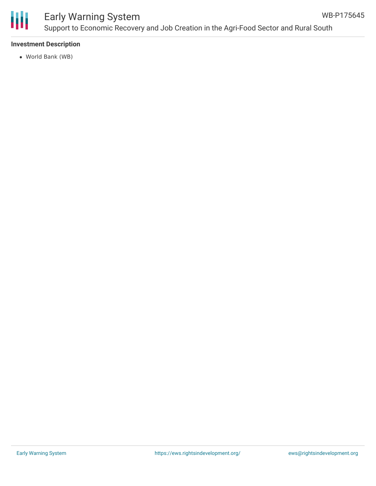

# Early Warning System

# **Investment Description**

World Bank (WB)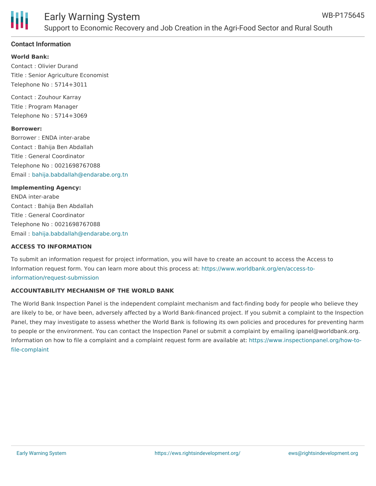

## **Contact Information**

#### **World Bank:**

Contact : Olivier Durand Title : Senior Agriculture Economist Telephone No : 5714+3011

Contact : Zouhour Karray Title : Program Manager Telephone No : 5714+3069

#### **Borrower:**

Borrower : ENDA inter-arabe Contact : Bahija Ben Abdallah Title : General Coordinator Telephone No : 0021698767088 Email : [bahija.babdallah@endarabe.org.tn](mailto:bahija.babdallah@endarabe.org.tn)

#### **Implementing Agency:**

ENDA inter-arabe Contact : Bahija Ben Abdallah Title : General Coordinator Telephone No : 0021698767088 Email : [bahija.babdallah@endarabe.org.tn](mailto:bahija.babdallah@endarabe.org.tn)

#### **ACCESS TO INFORMATION**

To submit an information request for project information, you will have to create an account to access the Access to Information request form. You can learn more about this process at: [https://www.worldbank.org/en/access-to](https://www.worldbank.org/en/access-to-information/request-submission)information/request-submission

## **ACCOUNTABILITY MECHANISM OF THE WORLD BANK**

The World Bank Inspection Panel is the independent complaint mechanism and fact-finding body for people who believe they are likely to be, or have been, adversely affected by a World Bank-financed project. If you submit a complaint to the Inspection Panel, they may investigate to assess whether the World Bank is following its own policies and procedures for preventing harm to people or the environment. You can contact the Inspection Panel or submit a complaint by emailing ipanel@worldbank.org. Information on how to file a complaint and a complaint request form are available at: [https://www.inspectionpanel.org/how-to](https://www.inspectionpanel.org/how-to-file-complaint)file-complaint